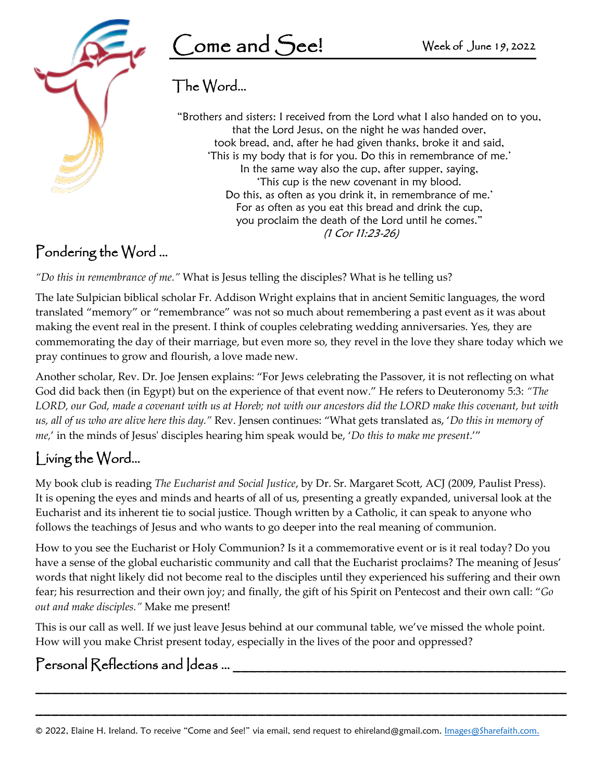

## The Word…

 'This is my body that is for you. Do this in remembrance of me.' 'This cup is the new covenant in my blood. "Brothers and sisters: I received from the Lord what I also handed on to you, that the Lord Jesus, on the night he was handed over, took bread, and, after he had given thanks, broke it and said, In the same way also the cup, after supper, saying, Do this, as often as you drink it, in remembrance of me.' For as often as you eat this bread and drink the cup, you proclaim the death of the Lord until he comes." (1 Cor 11:23-26)

## Pondering the Word …

*"Do this in remembrance of me."* What is Jesus telling the disciples? What is he telling us?

The late Sulpician biblical scholar Fr. Addison Wright explains that in ancient Semitic languages, the word translated "memory" or "remembrance" was not so much about remembering a past event as it was about making the event real in the present. I think of couples celebrating wedding anniversaries. Yes, they are commemorating the day of their marriage, but even more so, they revel in the love they share today which we pray continues to grow and flourish, a love made new.

Another scholar, Rev. Dr. Joe Jensen explains: "For Jews celebrating the Passover, it is not reflecting on what God did back then (in Egypt) but on the experience of that event now." He refers to Deuteronomy 5:3: *"The LORD, our God, made a covenant with us at Horeb; not with our ancestors did the LORD make this covenant, but with us, all of us who are alive here this day."* Rev. Jensen continues: "What gets translated as, '*Do this in memory of me,*' in the minds of Jesus' disciples hearing him speak would be, '*Do this to make me present*.'"

## Living the Word…

My book club is reading *The Eucharist and Social Justice*, by Dr. Sr. Margaret Scott, ACJ (2009, Paulist Press). It is opening the eyes and minds and hearts of all of us, presenting a greatly expanded, universal look at the Eucharist and its inherent tie to social justice. Though written by a Catholic, it can speak to anyone who follows the teachings of Jesus and who wants to go deeper into the real meaning of communion.

How to you see the Eucharist or Holy Communion? Is it a commemorative event or is it real today? Do you have a sense of the global eucharistic community and call that the Eucharist proclaims? The meaning of Jesus' words that night likely did not become real to the disciples until they experienced his suffering and their own fear; his resurrection and their own joy; and finally, the gift of his Spirit on Pentecost and their own call: "*Go out and make disciples."* Make me present!

This is our call as well. If we just leave Jesus behind at our communal table, we've missed the whole point. How will you make Christ present today, especially in the lives of the poor and oppressed?

\_\_\_\_\_\_\_\_\_\_\_\_\_\_\_\_\_\_\_\_\_\_\_\_\_\_\_\_\_\_\_\_\_\_\_\_\_\_\_\_\_\_\_\_\_\_\_\_\_\_\_\_\_\_\_\_\_\_\_\_\_\_\_\_\_\_\_

\_\_\_\_\_\_\_\_\_\_\_\_\_\_\_\_\_\_\_\_\_\_\_\_\_\_\_\_\_\_\_\_\_\_\_\_\_\_\_\_\_\_\_\_\_\_\_\_\_\_\_\_\_\_\_\_\_\_\_\_\_\_\_\_\_\_\_

## $\mathsf{Personal}$   $\mathsf{Reflections}$  and  $\mathsf{ldeas}$  ...

© 2022, Elaine H. Ireland. To receive "Come and See!" via email, send request to [ehireland@gmail.com.](mailto:ehireland@gmail.com) Images@Sharefaith.com.